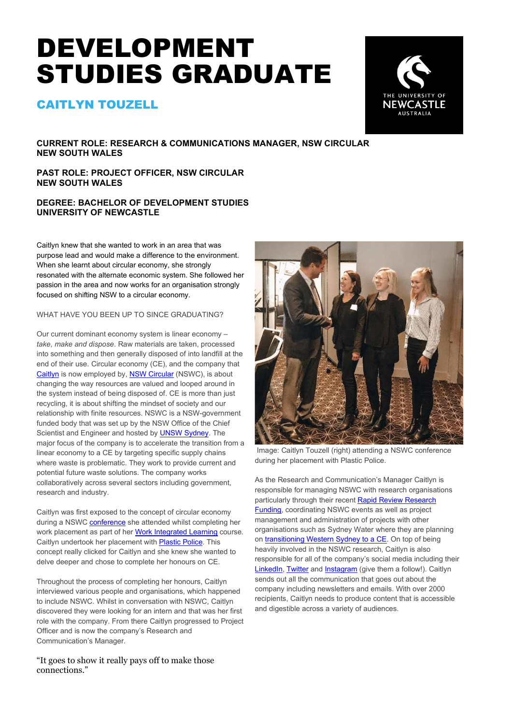# DEVELOPMENT STUDIES GRADUATE

## CAITLYN TOUZELL



**CURRENT ROLE: RESEARCH & COMMUNICATIONS MANAGER, NSW CIRCULAR NEW SOUTH WALES**

**PAST ROLE: PROJECT OFFICER, NSW CIRCULAR NEW SOUTH WALES**

### **DEGREE: BACHELOR OF DEVELOPMENT STUDIES UNIVERSITY OF NEWCASTLE**

Caitlyn knew that she wanted to work in an area that was purpose lead and would make a difference to the environment. When she learnt about circular economy, she strongly resonated with the alternate economic system. She followed her passion in the area and now works for an organisation strongly focused on shifting NSW to a circular economy.

WHAT HAVE YOU BEEN UP TO SINCE GRADUATING?

Our current dominant economy system is linear economy – *take, make and dispose*. Raw materials are taken, processed into something and then generally disposed of into landfill at the end of their use. Circular economy (CE), and the company that [Caitlyn](https://www.linkedin.com/in/caitlyn-touzell-64827b18b/?originalSubdomain=au) is now employed by, [NSW Circular](https://www.nswcircular.org/circular-supply-chain/) (NSWC), is about changing the way resources are valued and looped around in the system instead of being disposed of. CE is more than just recycling, it is about shifting the mindset of society and our relationship with finite resources. NSWC is a NSW-government funded body that was set up by the NSW Office of the Chief Scientist and Engineer and hosted b[y UNSW Sydney.](https://newsroom.unsw.edu.au/news/general/new-innovation-network-reduce-waste-and-improve-sustainability) The major focus of the company is to accelerate the transition from a linear economy to a CE by targeting specific supply chains where waste is problematic. They work to provide current and potential future waste solutions. The company works collaboratively across several sectors including government, research and industry.

Caitlyn was first exposed to the concept of circular economy during a NSWC **[conference](https://www.nswcircular.org/report-on-gosford-workshop-and-event/)** she attended whilst completing her work placement as part of her [Work Integrated Learning](https://www.newcastle.edu.au/engage/business-and-industry/work-integrated-learning) course. Caitlyn undertook her placement with [Plastic Police.](https://plasticpolice.com.au/) This concept really clicked for Caitlyn and she knew she wanted to delve deeper and chose to complete her honours on CE.

Throughout the process of completing her honours, Caitlyn interviewed various people and organisations, which happened to include NSWC. Whilst in conversation with NSWC, Caitlyn discovered they were looking for an intern and that was her first role with the company. From there Caitlyn progressed to Project Officer and is now the company's Research and Communication's Manager.

"It goes to show it really pays off to make those connections."



Image: Caitlyn Touzell (right) attending a NSWC conference during her placement with Plastic Police.

As the Research and Communication's Manager Caitlyn is responsible for managing NSWC with research organisations particularly through their recen[t Rapid Review Research](https://www.nswcircular.org/rapid-review/)  [Funding,](https://www.nswcircular.org/rapid-review/) coordinating NSWC events as well as project management and administration of projects with other organisations such as Sydney Water where they are planning on [transitioning Western Sydney to a CE.](https://www.sydneywater.com.au/content/dam/sydneywater/documents/WPC_unlocking-the-circular-economy.pdf) On top of being heavily involved in the NSWC research, Caitlyn is also responsible for all of the company's social media including their [LinkedIn,](https://www.linkedin.com/company/nswcircular/?originalSubdomain=au) [Twitter](https://twitter.com/nswcircular) an[d Instagram](https://www.instagram.com/nsw_circular/?hl=en) (give them a follow!). Caitlyn sends out all the communication that goes out about the company including newsletters and emails. With over 2000 recipients, Caitlyn needs to produce content that is accessible and digestible across a variety of audiences.